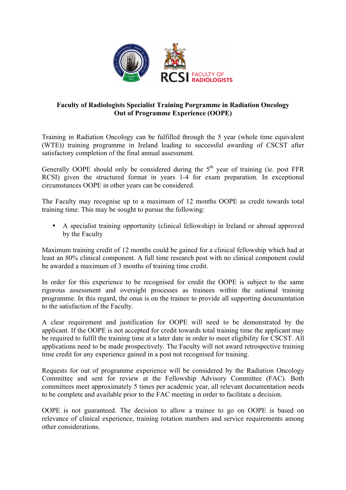

## **Faculty of Radiologists Specialist Training Porgramme in Radiation Oncology Out of Programme Experience (OOPE)**

Training in Radiation Oncology can be fulfilled through the 5 year (whole time equivalent (WTE)) training programme in Ireland leading to successful awarding of CSCST after satisfactory completion of the final annual assessment.

Generally OOPE should only be considered during the  $5<sup>th</sup>$  year of training (ie. post FFR RCSI) given the structured format in years 1-4 for exam preparation. In exceptional circumstances OOPE in other years can be considered.

The Faculty may recognise up to a maximum of 12 months OOPE as credit towards total training time. This may be sought to pursue the following:

• A specialist training opportunity (clinical fellowship) in Ireland or abroad approved by the Faculty

Maximum training credit of 12 months could be gained for a clinical fellowship which had at least an 80% clinical component. A full time research post with no clinical component could be awarded a maximum of 3 months of training time credit.

In order for this experience to be recognised for credit the OOPE is subject to the same rigorous assessment and oversight processes as trainees within the national training programme. In this regard, the onus is on the trainee to provide all supporting documentation to the satisfaction of the Faculty.

A clear requirement and justification for OOPE will need to be demonstrated by the applicant. If the OOPE is not accepted for credit towards total training time the applicant may be required to fulfil the training time at a later date in order to meet eligibility for CSCST. All applications need to be made prospectively. The Faculty will not award retrospective training time credit for any experience gained in a post not recognised for training.

Requests for out of programme experience will be considered by the Radiation Oncology Committee and sent for review at the Fellowship Advisory Committee (FAC). Both committees meet approximately 5 times per academic year, all relevant documentation needs to be complete and available prior to the FAC meeting in order to facilitate a decision.

OOPE is not guaranteed. The decision to allow a trainee to go on OOPE is based on relevance of clinical experience, training rotation numbers and service requirements among other considerations.